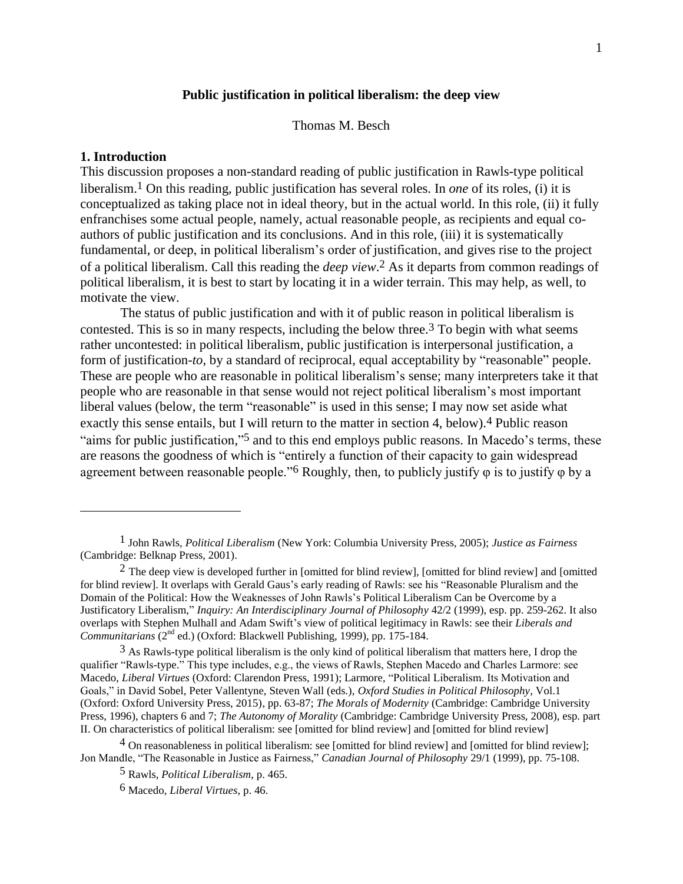#### **Public justification in political liberalism: the deep view**

Thomas M. Besch

### **1. Introduction**

 $\overline{a}$ 

This discussion proposes a non-standard reading of public justification in Rawls-type political liberalism. 1 On this reading, public justification has several roles. In *one* of its roles, (i) it is conceptualized as taking place not in ideal theory, but in the actual world. In this role, (ii) it fully enfranchises some actual people, namely, actual reasonable people, as recipients and equal coauthors of public justification and its conclusions. And in this role, (iii) it is systematically fundamental, or deep, in political liberalism's order of justification, and gives rise to the project of a political liberalism. Call this reading the *deep view*. 2 As it departs from common readings of political liberalism, it is best to start by locating it in a wider terrain. This may help, as well, to motivate the view.

The status of public justification and with it of public reason in political liberalism is contested. This is so in many respects, including the below three.<sup>3</sup> To begin with what seems rather uncontested: in political liberalism, public justification is interpersonal justification, a form of justification*-to*, by a standard of reciprocal, equal acceptability by "reasonable" people. These are people who are reasonable in political liberalism's sense; many interpreters take it that people who are reasonable in that sense would not reject political liberalism's most important liberal values (below, the term "reasonable" is used in this sense; I may now set aside what exactly this sense entails, but I will return to the matter in section 4, below).<sup>4</sup> Public reason "aims for public justification,"<sup>5</sup> and to this end employs public reasons. In Macedo's terms, these are reasons the goodness of which is "entirely a function of their capacity to gain widespread agreement between reasonable people."6 Roughly, then, to publicly justify φ is to justify φ by a

 $3$  As Rawls-type political liberalism is the only kind of political liberalism that matters here, I drop the qualifier "Rawls-type." This type includes, e.g., the views of Rawls, Stephen Macedo and Charles Larmore: see Macedo, *Liberal Virtues* (Oxford: Clarendon Press, 1991); Larmore, "Political Liberalism. Its Motivation and Goals," in David Sobel, Peter Vallentyne, Steven Wall (eds.), *Oxford Studies in Political Philosophy*, Vol.1 (Oxford: Oxford University Press, 2015), pp. 63-87; *The Morals of Modernity* (Cambridge: Cambridge University Press, 1996), chapters 6 and 7; *The Autonomy of Morality* (Cambridge: Cambridge University Press, 2008), esp. part II. On characteristics of political liberalism: see [omitted for blind review] and [omitted for blind review]

<sup>4</sup> On reasonableness in political liberalism: see [omitted for blind review] and [omitted for blind review]; Jon Mandle, "The Reasonable in Justice as Fairness," *Canadian Journal of Philosophy* 29/1 (1999), pp. 75-108.

5 Rawls, *Political Liberalism*, p. 465.

<sup>1</sup> John Rawls, *Political Liberalism* (New York: Columbia University Press, 2005); *Justice as Fairness* (Cambridge: Belknap Press, 2001).

 $2$  The deep view is developed further in [omitted for blind review], [omitted for blind review] and [omitted for blind review]. It overlaps with Gerald Gaus's early reading of Rawls: see his "Reasonable Pluralism and the Domain of the Political: How the Weaknesses of John Rawls's Political Liberalism Can be Overcome by a Justificatory Liberalism," *Inquiry: An Interdisciplinary Journal of Philosophy* 42/2 (1999), esp. pp. 259-262. It also overlaps with Stephen Mulhall and Adam Swift's view of political legitimacy in Rawls: see their *Liberals and Communitarians* (2<sup>nd</sup> ed.) (Oxford: Blackwell Publishing, 1999), pp. 175-184.

<sup>6</sup> Macedo, *Liberal Virtues*, p. 46.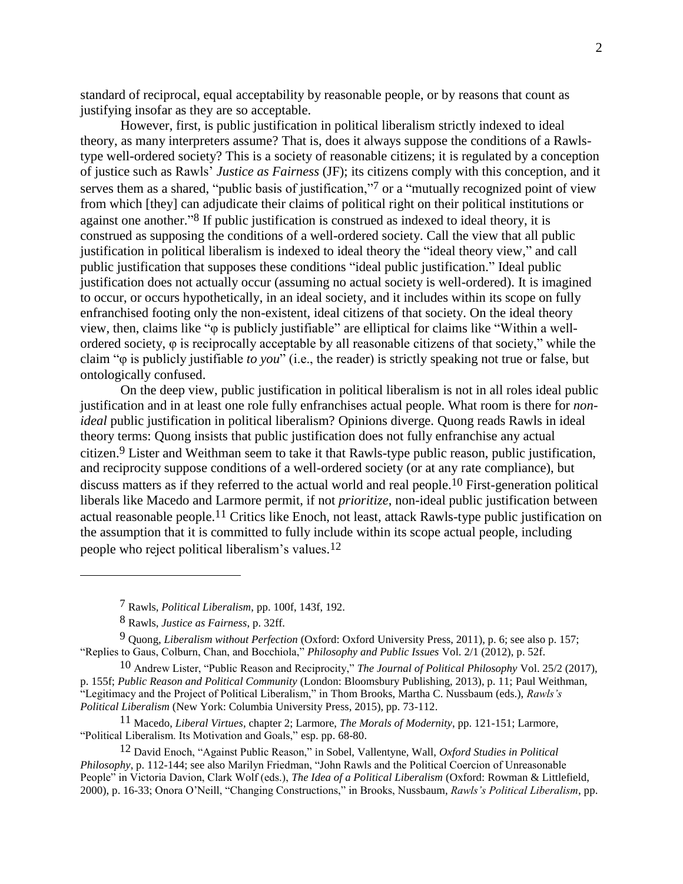standard of reciprocal, equal acceptability by reasonable people, or by reasons that count as justifying insofar as they are so acceptable.

However, first, is public justification in political liberalism strictly indexed to ideal theory, as many interpreters assume? That is, does it always suppose the conditions of a Rawlstype well-ordered society? This is a society of reasonable citizens; it is regulated by a conception of justice such as Rawls' *Justice as Fairness* (JF); its citizens comply with this conception, and it serves them as a shared, "public basis of justification,"<sup>7</sup> or a "mutually recognized point of view from which [they] can adjudicate their claims of political right on their political institutions or against one another." 8 If public justification is construed as indexed to ideal theory, it is construed as supposing the conditions of a well-ordered society. Call the view that all public justification in political liberalism is indexed to ideal theory the "ideal theory view," and call public justification that supposes these conditions "ideal public justification." Ideal public justification does not actually occur (assuming no actual society is well-ordered). It is imagined to occur, or occurs hypothetically, in an ideal society, and it includes within its scope on fully enfranchised footing only the non-existent, ideal citizens of that society. On the ideal theory view, then, claims like "φ is publicly justifiable" are elliptical for claims like "Within a wellordered society, φ is reciprocally acceptable by all reasonable citizens of that society," while the claim "φ is publicly justifiable *to you*" (i.e., the reader) is strictly speaking not true or false, but ontologically confused.

On the deep view, public justification in political liberalism is not in all roles ideal public justification and in at least one role fully enfranchises actual people. What room is there for *nonideal* public justification in political liberalism? Opinions diverge. Quong reads Rawls in ideal theory terms: Quong insists that public justification does not fully enfranchise any actual citizen. 9 Lister and Weithman seem to take it that Rawls-type public reason, public justification, and reciprocity suppose conditions of a well-ordered society (or at any rate compliance), but discuss matters as if they referred to the actual world and real people.10 First-generation political liberals like Macedo and Larmore permit, if not *prioritize*, non-ideal public justification between actual reasonable people.<sup>11</sup> Critics like Enoch, not least, attack Rawls-type public justification on the assumption that it is committed to fully include within its scope actual people, including people who reject political liberalism's values. 12

<sup>7</sup> Rawls, *Political Liberalism*, pp. 100f, 143f, 192.

<sup>8</sup> Rawls, *Justice as Fairness*, p. 32ff.

<sup>9</sup> Quong, *Liberalism without Perfection* (Oxford: Oxford University Press, 2011), p. 6; see also p. 157; "Replies to Gaus, Colburn, Chan, and Bocchiola," *Philosophy and Public Issues* Vol. 2/1 (2012), p. 52f.

<sup>10</sup> Andrew Lister, "Public Reason and Reciprocity," *The Journal of Political Philosophy* Vol. 25/2 (2017), p. 155f; *Public Reason and Political Community* (London: Bloomsbury Publishing, 2013), p. 11; Paul Weithman, "Legitimacy and the Project of Political Liberalism," in Thom Brooks, Martha C. Nussbaum (eds.), *Rawls's Political Liberalism* (New York: Columbia University Press, 2015), pp. 73-112.

<sup>11</sup> Macedo, *Liberal Virtues*, chapter 2; Larmore, *The Morals of Modernity*, pp. 121-151; Larmore, "Political Liberalism. Its Motivation and Goals," esp. pp. 68-80.

<sup>12</sup> David Enoch, "Against Public Reason," in Sobel, Vallentyne, Wall, *Oxford Studies in Political Philosophy*, p. 112-144; see also Marilyn Friedman, "John Rawls and the Political Coercion of Unreasonable People" in Victoria Davion, Clark Wolf (eds.), *The Idea of a Political Liberalism* (Oxford: Rowman & Littlefield, 2000), p. 16-33; Onora O'Neill, "Changing Constructions," in Brooks, Nussbaum, *Rawls's Political Liberalism*, pp.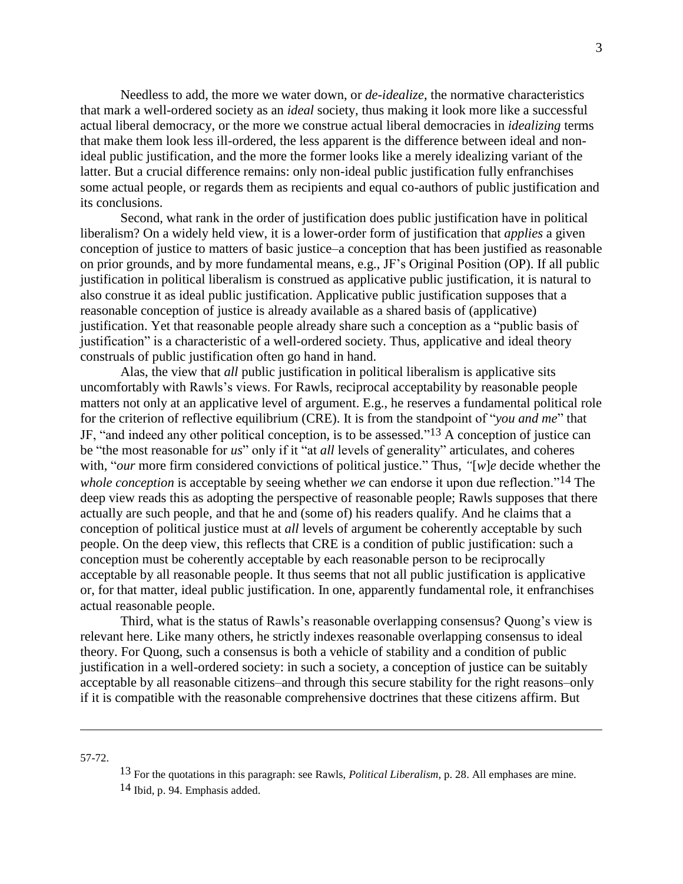Needless to add, the more we water down, or *de-idealize*, the normative characteristics that mark a well-ordered society as an *ideal* society, thus making it look more like a successful actual liberal democracy, or the more we construe actual liberal democracies in *idealizing* terms that make them look less ill-ordered, the less apparent is the difference between ideal and nonideal public justification, and the more the former looks like a merely idealizing variant of the latter. But a crucial difference remains: only non-ideal public justification fully enfranchises some actual people, or regards them as recipients and equal co-authors of public justification and its conclusions.

Second, what rank in the order of justification does public justification have in political liberalism? On a widely held view, it is a lower-order form of justification that *applies* a given conception of justice to matters of basic justice–a conception that has been justified as reasonable on prior grounds, and by more fundamental means, e.g., JF's Original Position (OP). If all public justification in political liberalism is construed as applicative public justification, it is natural to also construe it as ideal public justification. Applicative public justification supposes that a reasonable conception of justice is already available as a shared basis of (applicative) justification. Yet that reasonable people already share such a conception as a "public basis of justification" is a characteristic of a well-ordered society. Thus, applicative and ideal theory construals of public justification often go hand in hand.

Alas, the view that *all* public justification in political liberalism is applicative sits uncomfortably with Rawls's views. For Rawls, reciprocal acceptability by reasonable people matters not only at an applicative level of argument. E.g., he reserves a fundamental political role for the criterion of reflective equilibrium (CRE). It is from the standpoint of "*you and me*" that JF, "and indeed any other political conception, is to be assessed." 13 A conception of justice can be "the most reasonable for *us*" only if it "at *all* levels of generality" articulates, and coheres with, "*our* more firm considered convictions of political justice." Thus, *"*[*w*]*e* decide whether the *whole conception* is acceptable by seeing whether *we* can endorse it upon due reflection."14 The deep view reads this as adopting the perspective of reasonable people; Rawls supposes that there actually are such people, and that he and (some of) his readers qualify. And he claims that a conception of political justice must at *all* levels of argument be coherently acceptable by such people. On the deep view, this reflects that CRE is a condition of public justification: such a conception must be coherently acceptable by each reasonable person to be reciprocally acceptable by all reasonable people. It thus seems that not all public justification is applicative or, for that matter, ideal public justification. In one, apparently fundamental role, it enfranchises actual reasonable people.

Third, what is the status of Rawls's reasonable overlapping consensus? Quong's view is relevant here. Like many others, he strictly indexes reasonable overlapping consensus to ideal theory. For Quong, such a consensus is both a vehicle of stability and a condition of public justification in a well-ordered society: in such a society, a conception of justice can be suitably acceptable by all reasonable citizens–and through this secure stability for the right reasons–only if it is compatible with the reasonable comprehensive doctrines that these citizens affirm. But

57-72.

<sup>13</sup> For the quotations in this paragraph: see Rawls, *Political Liberalism*, p. 28. All emphases are mine.

<sup>14</sup> Ibid, p. 94. Emphasis added.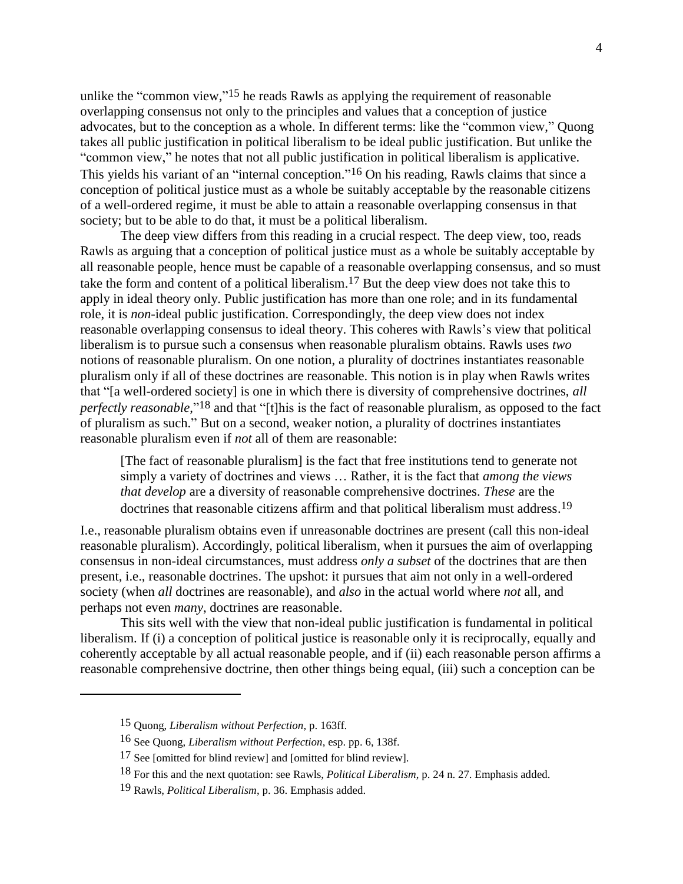unlike the "common view,"<sup>15</sup> he reads Rawls as applying the requirement of reasonable overlapping consensus not only to the principles and values that a conception of justice advocates, but to the conception as a whole. In different terms: like the "common view," Quong takes all public justification in political liberalism to be ideal public justification. But unlike the "common view," he notes that not all public justification in political liberalism is applicative. This yields his variant of an "internal conception."<sup>16</sup> On his reading, Rawls claims that since a conception of political justice must as a whole be suitably acceptable by the reasonable citizens of a well-ordered regime, it must be able to attain a reasonable overlapping consensus in that society; but to be able to do that, it must be a political liberalism.

The deep view differs from this reading in a crucial respect. The deep view, too, reads Rawls as arguing that a conception of political justice must as a whole be suitably acceptable by all reasonable people, hence must be capable of a reasonable overlapping consensus, and so must take the form and content of a political liberalism. 17 But the deep view does not take this to apply in ideal theory only. Public justification has more than one role; and in its fundamental role, it is *non*-ideal public justification. Correspondingly, the deep view does not index reasonable overlapping consensus to ideal theory. This coheres with Rawls's view that political liberalism is to pursue such a consensus when reasonable pluralism obtains. Rawls uses *two* notions of reasonable pluralism. On one notion, a plurality of doctrines instantiates reasonable pluralism only if all of these doctrines are reasonable. This notion is in play when Rawls writes that "[a well-ordered society] is one in which there is diversity of comprehensive doctrines, *all perfectly reasonable*," 18 and that "[t]his is the fact of reasonable pluralism, as opposed to the fact of pluralism as such." But on a second, weaker notion, a plurality of doctrines instantiates reasonable pluralism even if *not* all of them are reasonable:

[The fact of reasonable pluralism] is the fact that free institutions tend to generate not simply a variety of doctrines and views … Rather, it is the fact that *among the views that develop* are a diversity of reasonable comprehensive doctrines. *These* are the doctrines that reasonable citizens affirm and that political liberalism must address.<sup>19</sup>

I.e., reasonable pluralism obtains even if unreasonable doctrines are present (call this non-ideal reasonable pluralism). Accordingly, political liberalism, when it pursues the aim of overlapping consensus in non-ideal circumstances, must address *only a subset* of the doctrines that are then present, i.e., reasonable doctrines. The upshot: it pursues that aim not only in a well-ordered society (when *all* doctrines are reasonable), and *also* in the actual world where *not* all, and perhaps not even *many*, doctrines are reasonable.

This sits well with the view that non-ideal public justification is fundamental in political liberalism. If (i) a conception of political justice is reasonable only it is reciprocally, equally and coherently acceptable by all actual reasonable people, and if (ii) each reasonable person affirms a reasonable comprehensive doctrine, then other things being equal, (iii) such a conception can be

<sup>15</sup> Quong, *Liberalism without Perfection*, p. 163ff.

<sup>16</sup> See Quong, *Liberalism without Perfection*, esp. pp. 6, 138f.

<sup>17</sup> See [omitted for blind review] and [omitted for blind review].

<sup>18</sup> For this and the next quotation: see Rawls, *Political Liberalism*, p. 24 n. 27. Emphasis added.

<sup>19</sup> Rawls, *Political Liberalism*, p. 36. Emphasis added.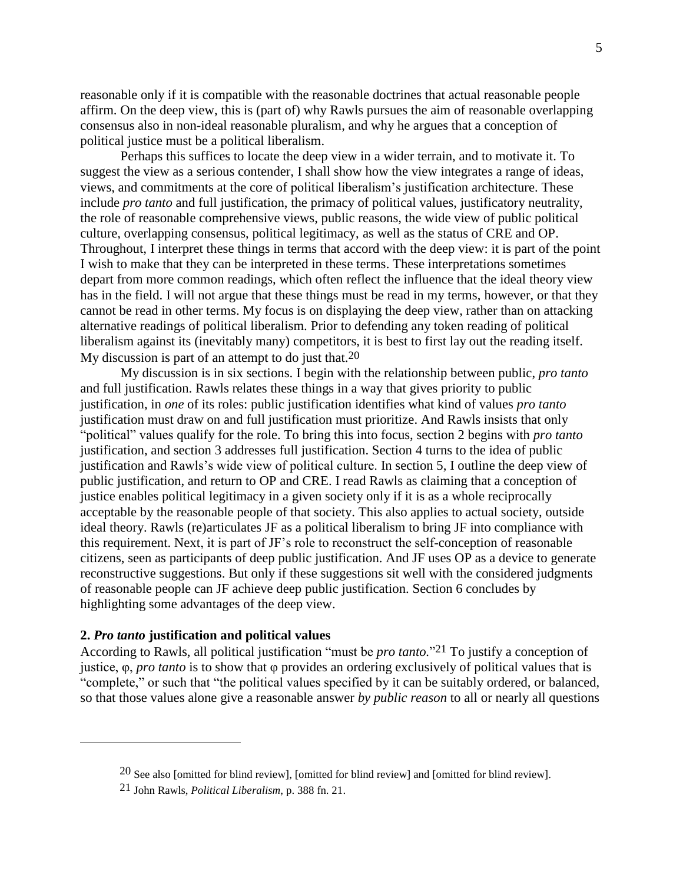reasonable only if it is compatible with the reasonable doctrines that actual reasonable people affirm. On the deep view, this is (part of) why Rawls pursues the aim of reasonable overlapping consensus also in non-ideal reasonable pluralism, and why he argues that a conception of political justice must be a political liberalism.

Perhaps this suffices to locate the deep view in a wider terrain, and to motivate it. To suggest the view as a serious contender, I shall show how the view integrates a range of ideas, views, and commitments at the core of political liberalism's justification architecture. These include *pro tanto* and full justification, the primacy of political values, justificatory neutrality, the role of reasonable comprehensive views, public reasons, the wide view of public political culture, overlapping consensus, political legitimacy, as well as the status of CRE and OP. Throughout, I interpret these things in terms that accord with the deep view: it is part of the point I wish to make that they can be interpreted in these terms. These interpretations sometimes depart from more common readings, which often reflect the influence that the ideal theory view has in the field. I will not argue that these things must be read in my terms, however, or that they cannot be read in other terms. My focus is on displaying the deep view, rather than on attacking alternative readings of political liberalism. Prior to defending any token reading of political liberalism against its (inevitably many) competitors, it is best to first lay out the reading itself. My discussion is part of an attempt to do just that.20

My discussion is in six sections. I begin with the relationship between public, *pro tanto* and full justification. Rawls relates these things in a way that gives priority to public justification, in *one* of its roles: public justification identifies what kind of values *pro tanto* justification must draw on and full justification must prioritize. And Rawls insists that only "political" values qualify for the role. To bring this into focus, section 2 begins with *pro tanto* justification, and section 3 addresses full justification. Section 4 turns to the idea of public justification and Rawls's wide view of political culture. In section 5, I outline the deep view of public justification, and return to OP and CRE. I read Rawls as claiming that a conception of justice enables political legitimacy in a given society only if it is as a whole reciprocally acceptable by the reasonable people of that society. This also applies to actual society, outside ideal theory. Rawls (re)articulates JF as a political liberalism to bring JF into compliance with this requirement. Next, it is part of JF's role to reconstruct the self-conception of reasonable citizens, seen as participants of deep public justification. And JF uses OP as a device to generate reconstructive suggestions. But only if these suggestions sit well with the considered judgments of reasonable people can JF achieve deep public justification. Section 6 concludes by highlighting some advantages of the deep view.

# **2.** *Pro tanto* **justification and political values**

 $\overline{a}$ 

According to Rawls, all political justification "must be *pro tanto.*" 21 To justify a conception of justice, φ, *pro tanto* is to show that φ provides an ordering exclusively of political values that is "complete," or such that "the political values specified by it can be suitably ordered, or balanced, so that those values alone give a reasonable answer *by public reason* to all or nearly all questions

<sup>20</sup> See also [omitted for blind review], [omitted for blind review] and [omitted for blind review].

<sup>21</sup> John Rawls, *Political Liberalism*, p. 388 fn. 21.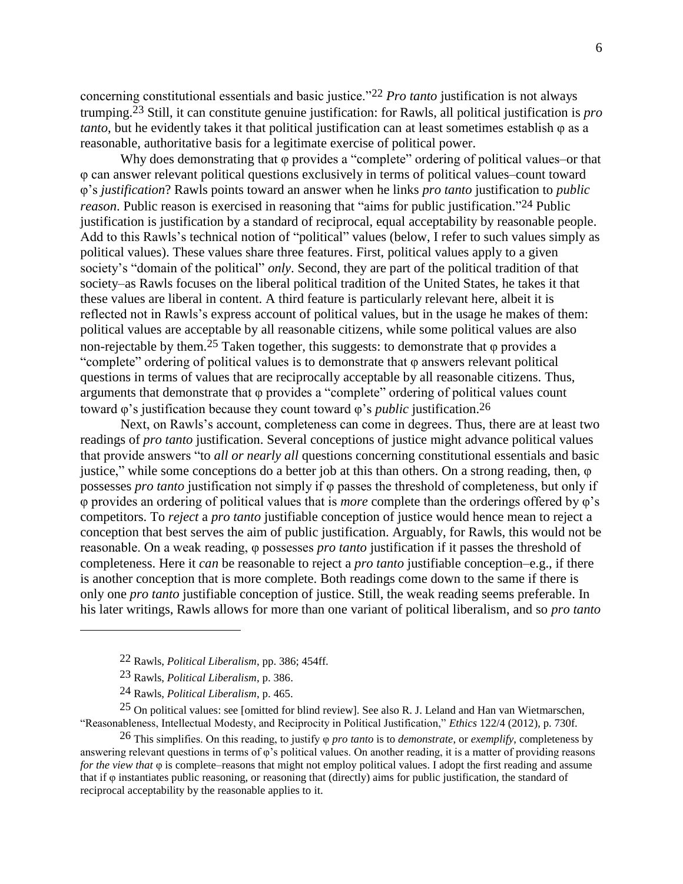concerning constitutional essentials and basic justice."22 *Pro tanto* justification is not always trumping. 23 Still, it can constitute genuine justification: for Rawls, all political justification is *pro tanto*, but he evidently takes it that political justification can at least sometimes establish φ as a reasonable, authoritative basis for a legitimate exercise of political power.

Why does demonstrating that φ provides a "complete" ordering of political values–or that φ can answer relevant political questions exclusively in terms of political values–count toward φ's *justification*? Rawls points toward an answer when he links *pro tanto* justification to *public reason*. Public reason is exercised in reasoning that "aims for public justification." 24 Public justification is justification by a standard of reciprocal, equal acceptability by reasonable people. Add to this Rawls's technical notion of "political" values (below, I refer to such values simply as political values). These values share three features. First, political values apply to a given society's "domain of the political" *only*. Second, they are part of the political tradition of that society–as Rawls focuses on the liberal political tradition of the United States, he takes it that these values are liberal in content. A third feature is particularly relevant here, albeit it is reflected not in Rawls's express account of political values, but in the usage he makes of them: political values are acceptable by all reasonable citizens, while some political values are also non-rejectable by them.<sup>25</sup> Taken together, this suggests: to demonstrate that  $\varphi$  provides a "complete" ordering of political values is to demonstrate that φ answers relevant political questions in terms of values that are reciprocally acceptable by all reasonable citizens. Thus, arguments that demonstrate that φ provides a "complete" ordering of political values count toward φ's justification because they count toward φ's *public* justification. 26

Next, on Rawls's account, completeness can come in degrees. Thus, there are at least two readings of *pro tanto* justification. Several conceptions of justice might advance political values that provide answers "to *all or nearly all* questions concerning constitutional essentials and basic justice," while some conceptions do a better job at this than others. On a strong reading, then, φ possesses *pro tanto* justification not simply if φ passes the threshold of completeness, but only if φ provides an ordering of political values that is *more* complete than the orderings offered by φ's competitors. To *reject* a *pro tanto* justifiable conception of justice would hence mean to reject a conception that best serves the aim of public justification. Arguably, for Rawls, this would not be reasonable. On a weak reading, φ possesses *pro tanto* justification if it passes the threshold of completeness. Here it *can* be reasonable to reject a *pro tanto* justifiable conception–e.g., if there is another conception that is more complete. Both readings come down to the same if there is only one *pro tanto* justifiable conception of justice. Still, the weak reading seems preferable. In his later writings, Rawls allows for more than one variant of political liberalism, and so *pro tanto*

 $\overline{a}$ 

25 On political values: see [omitted for blind review]. See also R. J. Leland and Han van Wietmarschen, "Reasonableness, Intellectual Modesty, and Reciprocity in Political Justification," *Ethics* 122/4 (2012), p. 730f.

26 This simplifies. On this reading, to justify φ *pro tanto* is to *demonstrate*, or *exemplify*, completeness by answering relevant questions in terms of φ's political values. On another reading, it is a matter of providing reasons *for the view that* φ is complete–reasons that might not employ political values. I adopt the first reading and assume that if φ instantiates public reasoning, or reasoning that (directly) aims for public justification, the standard of reciprocal acceptability by the reasonable applies to it.

<sup>22</sup> Rawls, *Political Liberalism*, pp. 386; 454ff.

<sup>23</sup> Rawls, *Political Liberalism*, p. 386.

<sup>24</sup> Rawls, *Political Liberalism*, p. 465.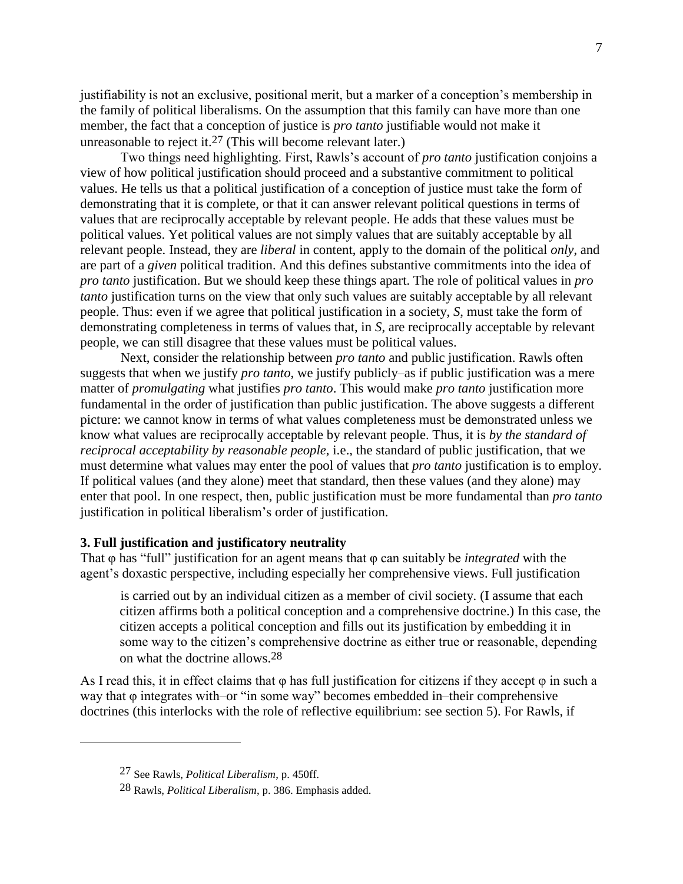justifiability is not an exclusive, positional merit, but a marker of a conception's membership in the family of political liberalisms. On the assumption that this family can have more than one member, the fact that a conception of justice is *pro tanto* justifiable would not make it unreasonable to reject it.27 (This will become relevant later.)

Two things need highlighting. First, Rawls's account of *pro tanto* justification conjoins a view of how political justification should proceed and a substantive commitment to political values. He tells us that a political justification of a conception of justice must take the form of demonstrating that it is complete, or that it can answer relevant political questions in terms of values that are reciprocally acceptable by relevant people. He adds that these values must be political values. Yet political values are not simply values that are suitably acceptable by all relevant people. Instead, they are *liberal* in content, apply to the domain of the political *only*, and are part of a *given* political tradition. And this defines substantive commitments into the idea of *pro tanto* justification. But we should keep these things apart. The role of political values in *pro tanto* justification turns on the view that only such values are suitably acceptable by all relevant people. Thus: even if we agree that political justification in a society, *S*, must take the form of demonstrating completeness in terms of values that, in *S*, are reciprocally acceptable by relevant people, we can still disagree that these values must be political values.

Next, consider the relationship between *pro tanto* and public justification. Rawls often suggests that when we justify *pro tanto*, we justify publicly–as if public justification was a mere matter of *promulgating* what justifies *pro tanto*. This would make *pro tanto* justification more fundamental in the order of justification than public justification. The above suggests a different picture: we cannot know in terms of what values completeness must be demonstrated unless we know what values are reciprocally acceptable by relevant people. Thus, it is *by the standard of reciprocal acceptability by reasonable people*, i.e., the standard of public justification, that we must determine what values may enter the pool of values that *pro tanto* justification is to employ. If political values (and they alone) meet that standard, then these values (and they alone) may enter that pool. In one respect, then, public justification must be more fundamental than *pro tanto* justification in political liberalism's order of justification.

#### **3. Full justification and justificatory neutrality**

That φ has "full" justification for an agent means that φ can suitably be *integrated* with the agent's doxastic perspective, including especially her comprehensive views. Full justification

is carried out by an individual citizen as a member of civil society. (I assume that each citizen affirms both a political conception and a comprehensive doctrine.) In this case, the citizen accepts a political conception and fills out its justification by embedding it in some way to the citizen's comprehensive doctrine as either true or reasonable, depending on what the doctrine allows.28

As I read this, it in effect claims that  $\varphi$  has full justification for citizens if they accept  $\varphi$  in such a way that φ integrates with–or "in some way" becomes embedded in–their comprehensive doctrines (this interlocks with the role of reflective equilibrium: see section 5). For Rawls, if

<sup>27</sup> See Rawls, *Political Liberalism*, p. 450ff.

<sup>28</sup> Rawls, *Political Liberalism*, p. 386. Emphasis added.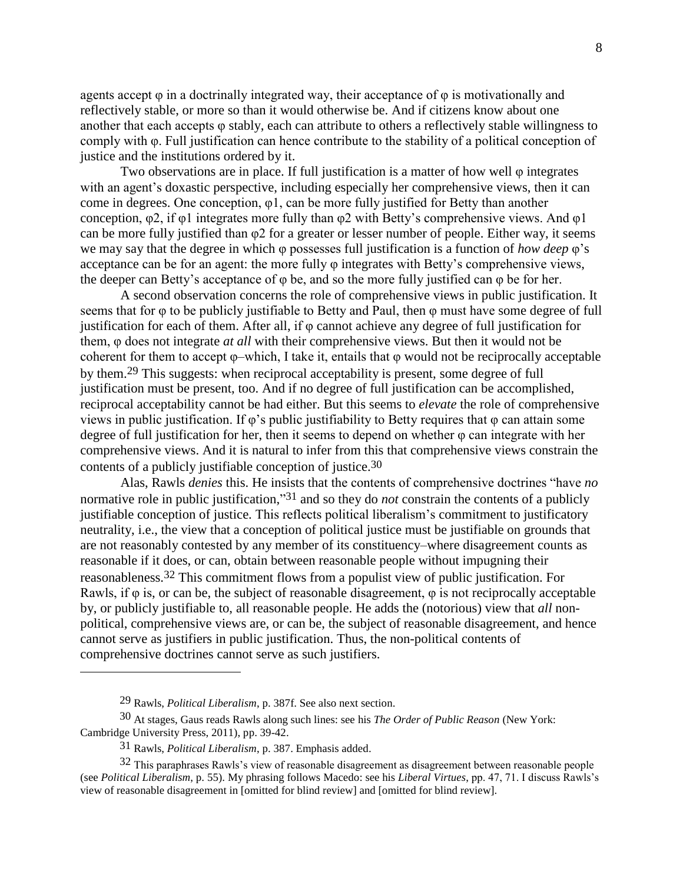agents accept  $\varphi$  in a doctrinally integrated way, their acceptance of  $\varphi$  is motivationally and reflectively stable, or more so than it would otherwise be. And if citizens know about one another that each accepts φ stably, each can attribute to others a reflectively stable willingness to comply with φ. Full justification can hence contribute to the stability of a political conception of justice and the institutions ordered by it.

Two observations are in place. If full justification is a matter of how well φ integrates with an agent's doxastic perspective, including especially her comprehensive views, then it can come in degrees. One conception, φ1, can be more fully justified for Betty than another conception,  $\varphi$ 2, if  $\varphi$ 1 integrates more fully than  $\varphi$ 2 with Betty's comprehensive views. And  $\varphi$ 1 can be more fully justified than φ2 for a greater or lesser number of people. Either way, it seems we may say that the degree in which φ possesses full justification is a function of *how deep* φ's acceptance can be for an agent: the more fully φ integrates with Betty's comprehensive views, the deeper can Betty's acceptance of φ be, and so the more fully justified can φ be for her.

A second observation concerns the role of comprehensive views in public justification. It seems that for φ to be publicly justifiable to Betty and Paul, then φ must have some degree of full justification for each of them. After all, if φ cannot achieve any degree of full justification for them, φ does not integrate *at all* with their comprehensive views. But then it would not be coherent for them to accept φ–which, I take it, entails that φ would not be reciprocally acceptable by them.29 This suggests: when reciprocal acceptability is present, some degree of full justification must be present, too. And if no degree of full justification can be accomplished, reciprocal acceptability cannot be had either. But this seems to *elevate* the role of comprehensive views in public justification. If  $\varphi$ 's public justifiability to Betty requires that  $\varphi$  can attain some degree of full justification for her, then it seems to depend on whether  $\varphi$  can integrate with her comprehensive views. And it is natural to infer from this that comprehensive views constrain the contents of a publicly justifiable conception of justice. 30

Alas, Rawls *denies* this. He insists that the contents of comprehensive doctrines "have *no* normative role in public justification," 31 and so they do *not* constrain the contents of a publicly justifiable conception of justice. This reflects political liberalism's commitment to justificatory neutrality, i.e., the view that a conception of political justice must be justifiable on grounds that are not reasonably contested by any member of its constituency–where disagreement counts as reasonable if it does, or can, obtain between reasonable people without impugning their reasonableness.32 This commitment flows from a populist view of public justification. For Rawls, if  $\varphi$  is, or can be, the subject of reasonable disagreement,  $\varphi$  is not reciprocally acceptable by, or publicly justifiable to, all reasonable people. He adds the (notorious) view that *all* nonpolitical, comprehensive views are, or can be, the subject of reasonable disagreement, and hence cannot serve as justifiers in public justification. Thus, the non-political contents of comprehensive doctrines cannot serve as such justifiers.

<sup>29</sup> Rawls, *Political Liberalism*, p. 387f. See also next section.

<sup>30</sup> At stages, Gaus reads Rawls along such lines: see his *The Order of Public Reason* (New York: Cambridge University Press, 2011), pp. 39-42.

<sup>31</sup> Rawls, *Political Liberalism*, p. 387. Emphasis added.

 $32$  This paraphrases Rawls's view of reasonable disagreement as disagreement between reasonable people (see *Political Liberalism*, p. 55). My phrasing follows Macedo: see his *Liberal Virtues*, pp. 47, 71. I discuss Rawls's view of reasonable disagreement in [omitted for blind review] and [omitted for blind review].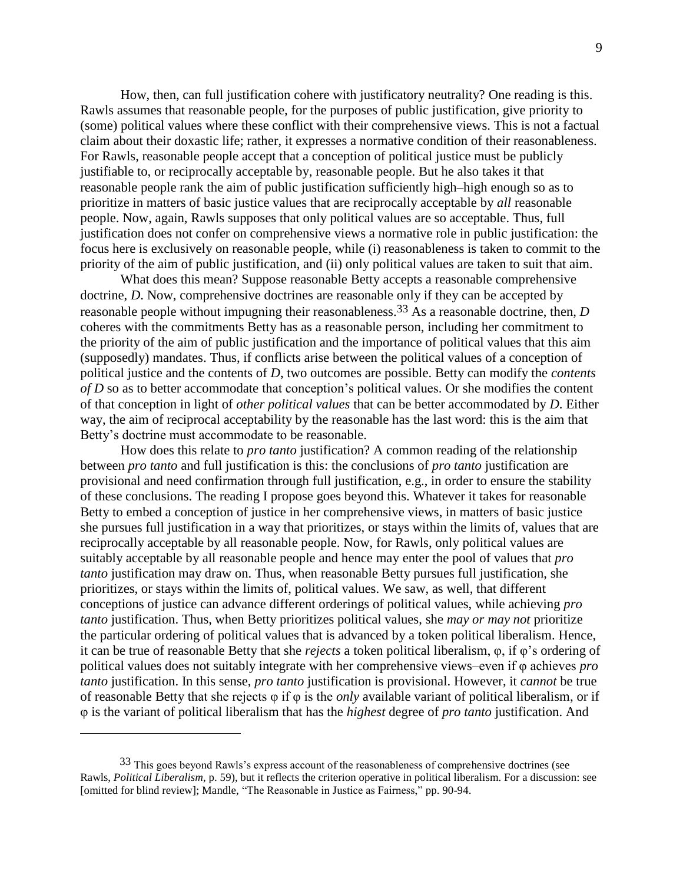How, then, can full justification cohere with justificatory neutrality? One reading is this. Rawls assumes that reasonable people, for the purposes of public justification, give priority to (some) political values where these conflict with their comprehensive views. This is not a factual claim about their doxastic life; rather, it expresses a normative condition of their reasonableness. For Rawls, reasonable people accept that a conception of political justice must be publicly justifiable to, or reciprocally acceptable by, reasonable people. But he also takes it that reasonable people rank the aim of public justification sufficiently high–high enough so as to prioritize in matters of basic justice values that are reciprocally acceptable by *all* reasonable people. Now, again, Rawls supposes that only political values are so acceptable. Thus, full justification does not confer on comprehensive views a normative role in public justification: the focus here is exclusively on reasonable people, while (i) reasonableness is taken to commit to the priority of the aim of public justification, and (ii) only political values are taken to suit that aim.

What does this mean? Suppose reasonable Betty accepts a reasonable comprehensive doctrine, *D*. Now, comprehensive doctrines are reasonable only if they can be accepted by reasonable people without impugning their reasonableness.33 As a reasonable doctrine, then, *D* coheres with the commitments Betty has as a reasonable person, including her commitment to the priority of the aim of public justification and the importance of political values that this aim (supposedly) mandates. Thus, if conflicts arise between the political values of a conception of political justice and the contents of *D*, two outcomes are possible. Betty can modify the *contents of D* so as to better accommodate that conception's political values. Or she modifies the content of that conception in light of *other political values* that can be better accommodated by *D*. Either way, the aim of reciprocal acceptability by the reasonable has the last word: this is the aim that Betty's doctrine must accommodate to be reasonable.

How does this relate to *pro tanto* justification? A common reading of the relationship between *pro tanto* and full justification is this: the conclusions of *pro tanto* justification are provisional and need confirmation through full justification, e.g., in order to ensure the stability of these conclusions. The reading I propose goes beyond this. Whatever it takes for reasonable Betty to embed a conception of justice in her comprehensive views, in matters of basic justice she pursues full justification in a way that prioritizes, or stays within the limits of, values that are reciprocally acceptable by all reasonable people. Now, for Rawls, only political values are suitably acceptable by all reasonable people and hence may enter the pool of values that *pro tanto* justification may draw on. Thus, when reasonable Betty pursues full justification, she prioritizes, or stays within the limits of, political values. We saw, as well, that different conceptions of justice can advance different orderings of political values, while achieving *pro tanto* justification. Thus, when Betty prioritizes political values, she *may or may not* prioritize the particular ordering of political values that is advanced by a token political liberalism. Hence, it can be true of reasonable Betty that she *rejects* a token political liberalism, φ, if φ's ordering of political values does not suitably integrate with her comprehensive views–even if φ achieves *pro tanto* justification. In this sense, *pro tanto* justification is provisional. However, it *cannot* be true of reasonable Betty that she rejects φ if φ is the *only* available variant of political liberalism, or if φ is the variant of political liberalism that has the *highest* degree of *pro tanto* justification. And

<sup>33</sup> This goes beyond Rawls's express account of the reasonableness of comprehensive doctrines (see Rawls, *Political Liberalism*, p. 59), but it reflects the criterion operative in political liberalism. For a discussion: see [omitted for blind review]; Mandle, "The Reasonable in Justice as Fairness," pp. 90-94.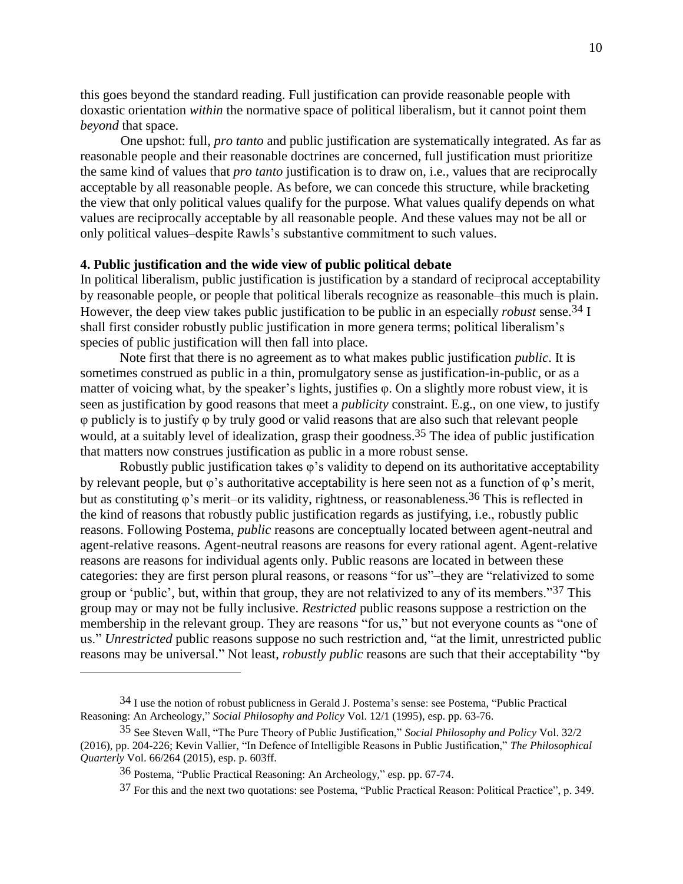this goes beyond the standard reading. Full justification can provide reasonable people with doxastic orientation *within* the normative space of political liberalism, but it cannot point them *beyond* that space.

One upshot: full, *pro tanto* and public justification are systematically integrated. As far as reasonable people and their reasonable doctrines are concerned, full justification must prioritize the same kind of values that *pro tanto* justification is to draw on, i.e., values that are reciprocally acceptable by all reasonable people. As before, we can concede this structure, while bracketing the view that only political values qualify for the purpose. What values qualify depends on what values are reciprocally acceptable by all reasonable people. And these values may not be all or only political values–despite Rawls's substantive commitment to such values.

## **4. Public justification and the wide view of public political debate**

In political liberalism, public justification is justification by a standard of reciprocal acceptability by reasonable people, or people that political liberals recognize as reasonable–this much is plain. However, the deep view takes public justification to be public in an especially *robust* sense.34 I shall first consider robustly public justification in more genera terms; political liberalism's species of public justification will then fall into place.

Note first that there is no agreement as to what makes public justification *public*. It is sometimes construed as public in a thin, promulgatory sense as justification-in-public, or as a matter of voicing what, by the speaker's lights, justifies φ. On a slightly more robust view, it is seen as justification by good reasons that meet a *publicity* constraint. E.g., on one view, to justify φ publicly is to justify φ by truly good or valid reasons that are also such that relevant people would, at a suitably level of idealization, grasp their goodness.<sup>35</sup> The idea of public justification that matters now construes justification as public in a more robust sense.

Robustly public justification takes φ's validity to depend on its authoritative acceptability by relevant people, but φ's authoritative acceptability is here seen not as a function of φ's merit, but as constituting  $\varphi$ 's merit–or its validity, rightness, or reasonableness.<sup>36</sup> This is reflected in the kind of reasons that robustly public justification regards as justifying, i.e., robustly public reasons. Following Postema, *public* reasons are conceptually located between agent-neutral and agent-relative reasons. Agent-neutral reasons are reasons for every rational agent. Agent-relative reasons are reasons for individual agents only. Public reasons are located in between these categories: they are first person plural reasons, or reasons "for us"–they are "relativized to some group or 'public', but, within that group, they are not relativized to any of its members."37 This group may or may not be fully inclusive. *Restricted* public reasons suppose a restriction on the membership in the relevant group. They are reasons "for us," but not everyone counts as "one of us." *Unrestricted* public reasons suppose no such restriction and, "at the limit, unrestricted public reasons may be universal." Not least, *robustly public* reasons are such that their acceptability "by

<sup>34</sup> I use the notion of robust publicness in Gerald J. Postema's sense: see Postema, "Public Practical Reasoning: An Archeology," *Social Philosophy and Policy* Vol. 12/1 (1995), esp. pp. 63-76.

<sup>35</sup> See Steven Wall, "The Pure Theory of Public Justification," *Social Philosophy and Policy* Vol. 32/2 (2016), pp. 204-226; Kevin Vallier, "In Defence of Intelligible Reasons in Public Justification," *The Philosophical Quarterly* Vol. 66/264 (2015), esp. p. 603ff.

<sup>36</sup> Postema, "Public Practical Reasoning: An Archeology," esp. pp. 67-74.

<sup>37</sup> For this and the next two quotations: see Postema, "Public Practical Reason: Political Practice", p. 349.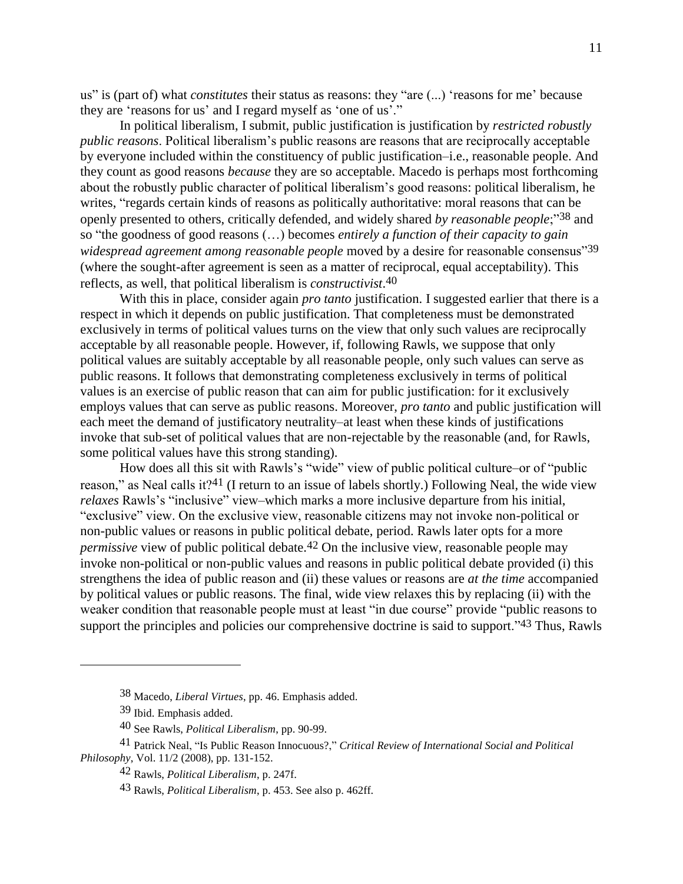us" is (part of) what *constitutes* their status as reasons: they "are (...) 'reasons for me' because they are 'reasons for us' and I regard myself as 'one of us'."

In political liberalism, I submit, public justification is justification by *restricted robustly public reasons*. Political liberalism's public reasons are reasons that are reciprocally acceptable by everyone included within the constituency of public justification–i.e., reasonable people. And they count as good reasons *because* they are so acceptable. Macedo is perhaps most forthcoming about the robustly public character of political liberalism's good reasons: political liberalism, he writes, "regards certain kinds of reasons as politically authoritative: moral reasons that can be openly presented to others, critically defended, and widely shared *by reasonable people*;"38 and so "the goodness of good reasons (…) becomes *entirely a function of their capacity to gain widespread agreement among reasonable people* moved by a desire for reasonable consensus"39 (where the sought-after agreement is seen as a matter of reciprocal, equal acceptability). This reflects, as well, that political liberalism is *constructivist*. 40

With this in place, consider again *pro tanto* justification. I suggested earlier that there is a respect in which it depends on public justification. That completeness must be demonstrated exclusively in terms of political values turns on the view that only such values are reciprocally acceptable by all reasonable people. However, if, following Rawls, we suppose that only political values are suitably acceptable by all reasonable people, only such values can serve as public reasons. It follows that demonstrating completeness exclusively in terms of political values is an exercise of public reason that can aim for public justification: for it exclusively employs values that can serve as public reasons. Moreover, *pro tanto* and public justification will each meet the demand of justificatory neutrality–at least when these kinds of justifications invoke that sub-set of political values that are non-rejectable by the reasonable (and, for Rawls, some political values have this strong standing).

How does all this sit with Rawls's "wide" view of public political culture–or of "public reason," as Neal calls it?<sup>41</sup> (I return to an issue of labels shortly.) Following Neal, the wide view *relaxes* Rawls's "inclusive" view–which marks a more inclusive departure from his initial, "exclusive" view. On the exclusive view, reasonable citizens may not invoke non-political or non-public values or reasons in public political debate, period. Rawls later opts for a more *permissive* view of public political debate.<sup>42</sup> On the inclusive view, reasonable people may invoke non-political or non-public values and reasons in public political debate provided (i) this strengthens the idea of public reason and (ii) these values or reasons are *at the time* accompanied by political values or public reasons. The final, wide view relaxes this by replacing (ii) with the weaker condition that reasonable people must at least "in due course" provide "public reasons to support the principles and policies our comprehensive doctrine is said to support."<sup>43</sup> Thus, Rawls

<sup>38</sup> Macedo, *Liberal Virtues*, pp. 46. Emphasis added.

<sup>39</sup> Ibid. Emphasis added.

<sup>40</sup> See Rawls, *Political Liberalism*, pp. 90-99.

<sup>41</sup> Patrick Neal, "Is Public Reason Innocuous?," *Critical Review of International Social and Political Philosophy*, Vol. 11/2 (2008), pp. 131-152.

<sup>42</sup> Rawls, *Political Liberalism*, p. 247f.

<sup>43</sup> Rawls, *Political Liberalism*, p. 453. See also p. 462ff.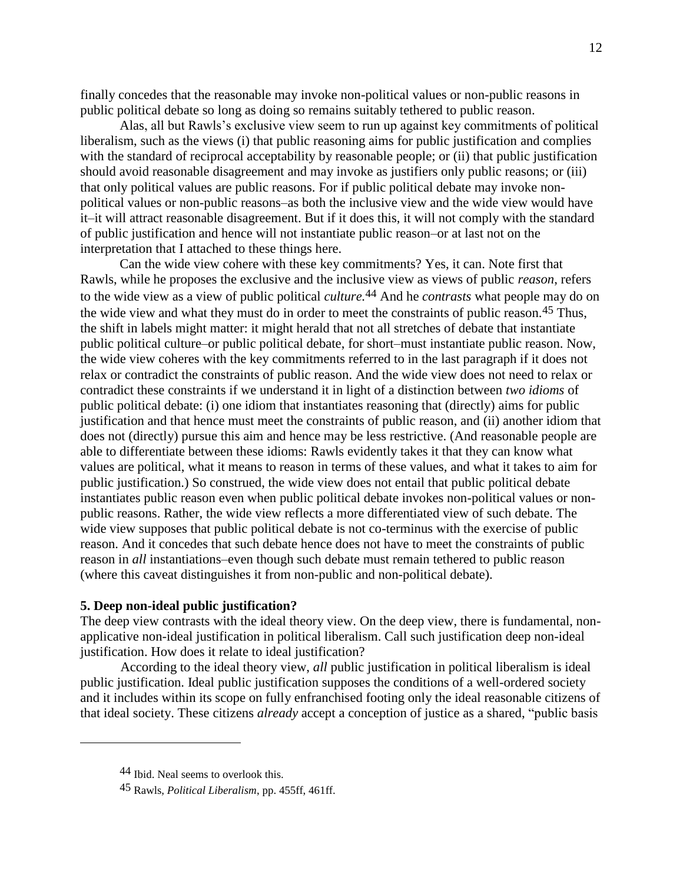finally concedes that the reasonable may invoke non-political values or non-public reasons in public political debate so long as doing so remains suitably tethered to public reason.

Alas, all but Rawls's exclusive view seem to run up against key commitments of political liberalism, such as the views (i) that public reasoning aims for public justification and complies with the standard of reciprocal acceptability by reasonable people; or (ii) that public justification should avoid reasonable disagreement and may invoke as justifiers only public reasons; or (iii) that only political values are public reasons. For if public political debate may invoke nonpolitical values or non-public reasons–as both the inclusive view and the wide view would have it–it will attract reasonable disagreement. But if it does this, it will not comply with the standard of public justification and hence will not instantiate public reason–or at last not on the interpretation that I attached to these things here.

Can the wide view cohere with these key commitments? Yes, it can. Note first that Rawls, while he proposes the exclusive and the inclusive view as views of public *reason*, refers to the wide view as a view of public political *culture.* 44 And he *contrasts* what people may do on the wide view and what they must do in order to meet the constraints of public reason.45 Thus, the shift in labels might matter: it might herald that not all stretches of debate that instantiate public political culture–or public political debate, for short–must instantiate public reason. Now, the wide view coheres with the key commitments referred to in the last paragraph if it does not relax or contradict the constraints of public reason. And the wide view does not need to relax or contradict these constraints if we understand it in light of a distinction between *two idioms* of public political debate: (i) one idiom that instantiates reasoning that (directly) aims for public justification and that hence must meet the constraints of public reason, and (ii) another idiom that does not (directly) pursue this aim and hence may be less restrictive. (And reasonable people are able to differentiate between these idioms: Rawls evidently takes it that they can know what values are political, what it means to reason in terms of these values, and what it takes to aim for public justification.) So construed, the wide view does not entail that public political debate instantiates public reason even when public political debate invokes non-political values or nonpublic reasons. Rather, the wide view reflects a more differentiated view of such debate. The wide view supposes that public political debate is not co-terminus with the exercise of public reason. And it concedes that such debate hence does not have to meet the constraints of public reason in *all* instantiations–even though such debate must remain tethered to public reason (where this caveat distinguishes it from non-public and non-political debate).

### **5. Deep non-ideal public justification?**

The deep view contrasts with the ideal theory view. On the deep view, there is fundamental, nonapplicative non-ideal justification in political liberalism. Call such justification deep non-ideal justification. How does it relate to ideal justification?

According to the ideal theory view, *all* public justification in political liberalism is ideal public justification. Ideal public justification supposes the conditions of a well-ordered society and it includes within its scope on fully enfranchised footing only the ideal reasonable citizens of that ideal society. These citizens *already* accept a conception of justice as a shared, "public basis

<sup>44</sup> Ibid. Neal seems to overlook this.

<sup>45</sup> Rawls, *Political Liberalism*, pp. 455ff, 461ff.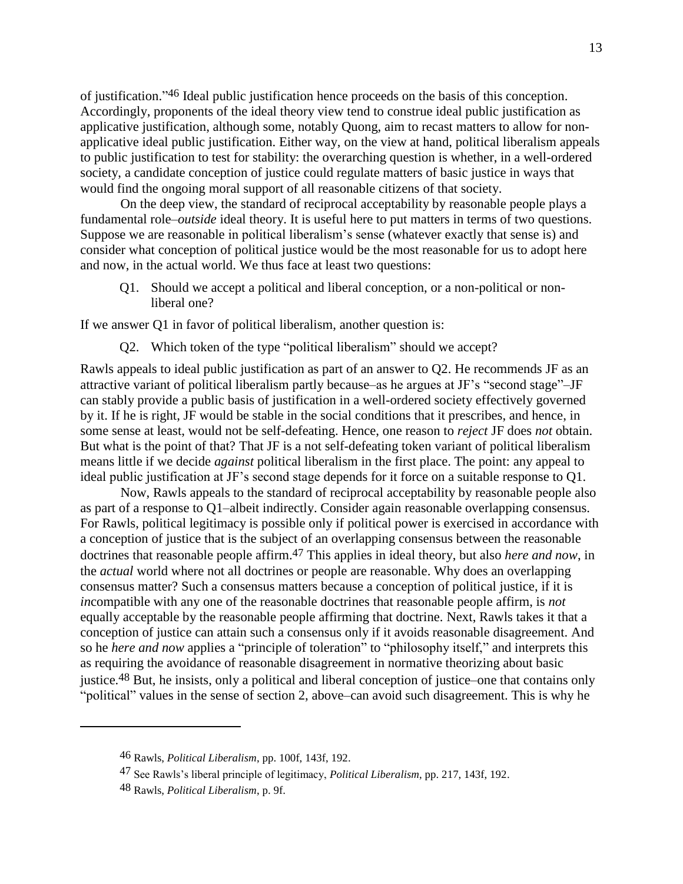of justification." 46 Ideal public justification hence proceeds on the basis of this conception. Accordingly, proponents of the ideal theory view tend to construe ideal public justification as applicative justification, although some, notably Quong, aim to recast matters to allow for nonapplicative ideal public justification. Either way, on the view at hand, political liberalism appeals to public justification to test for stability: the overarching question is whether, in a well-ordered society, a candidate conception of justice could regulate matters of basic justice in ways that would find the ongoing moral support of all reasonable citizens of that society.

On the deep view, the standard of reciprocal acceptability by reasonable people plays a fundamental role–*outside* ideal theory. It is useful here to put matters in terms of two questions. Suppose we are reasonable in political liberalism's sense (whatever exactly that sense is) and consider what conception of political justice would be the most reasonable for us to adopt here and now, in the actual world. We thus face at least two questions:

Q1. Should we accept a political and liberal conception, or a non-political or nonliberal one?

If we answer Q1 in favor of political liberalism, another question is:

Q2. Which token of the type "political liberalism" should we accept?

Rawls appeals to ideal public justification as part of an answer to Q2. He recommends JF as an attractive variant of political liberalism partly because–as he argues at JF's "second stage"–JF can stably provide a public basis of justification in a well-ordered society effectively governed by it. If he is right, JF would be stable in the social conditions that it prescribes, and hence, in some sense at least, would not be self-defeating. Hence, one reason to *reject* JF does *not* obtain. But what is the point of that? That JF is a not self-defeating token variant of political liberalism means little if we decide *against* political liberalism in the first place. The point: any appeal to ideal public justification at JF's second stage depends for it force on a suitable response to Q1.

Now, Rawls appeals to the standard of reciprocal acceptability by reasonable people also as part of a response to Q1–albeit indirectly. Consider again reasonable overlapping consensus. For Rawls, political legitimacy is possible only if political power is exercised in accordance with a conception of justice that is the subject of an overlapping consensus between the reasonable doctrines that reasonable people affirm. 47 This applies in ideal theory, but also *here and now*, in the *actual* world where not all doctrines or people are reasonable. Why does an overlapping consensus matter? Such a consensus matters because a conception of political justice, if it is *in*compatible with any one of the reasonable doctrines that reasonable people affirm, is *not* equally acceptable by the reasonable people affirming that doctrine. Next, Rawls takes it that a conception of justice can attain such a consensus only if it avoids reasonable disagreement. And so he *here and now* applies a "principle of toleration" to "philosophy itself," and interprets this as requiring the avoidance of reasonable disagreement in normative theorizing about basic justice. 48 But, he insists, only a political and liberal conception of justice–one that contains only "political" values in the sense of section 2, above–can avoid such disagreement. This is why he

<sup>46</sup> Rawls, *Political Liberalism*, pp. 100f, 143f, 192.

<sup>47</sup> See Rawls's liberal principle of legitimacy, *Political Liberalism*, pp. 217, 143f, 192.

<sup>48</sup> Rawls, *Political Liberalism*, p. 9f.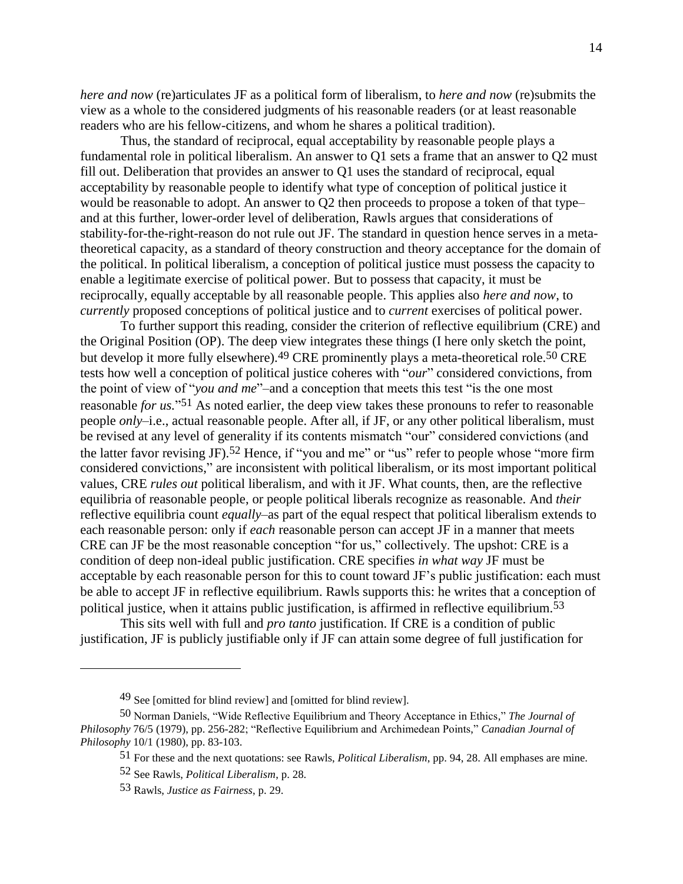*here and now* (re)articulates JF as a political form of liberalism, to *here and now* (re)submits the view as a whole to the considered judgments of his reasonable readers (or at least reasonable readers who are his fellow-citizens, and whom he shares a political tradition).

Thus, the standard of reciprocal, equal acceptability by reasonable people plays a fundamental role in political liberalism. An answer to Q1 sets a frame that an answer to Q2 must fill out. Deliberation that provides an answer to Q1 uses the standard of reciprocal, equal acceptability by reasonable people to identify what type of conception of political justice it would be reasonable to adopt. An answer to Q2 then proceeds to propose a token of that type– and at this further, lower-order level of deliberation, Rawls argues that considerations of stability-for-the-right-reason do not rule out JF. The standard in question hence serves in a metatheoretical capacity, as a standard of theory construction and theory acceptance for the domain of the political. In political liberalism, a conception of political justice must possess the capacity to enable a legitimate exercise of political power. But to possess that capacity, it must be reciprocally, equally acceptable by all reasonable people. This applies also *here and now*, to *currently* proposed conceptions of political justice and to *current* exercises of political power.

To further support this reading, consider the criterion of reflective equilibrium (CRE) and the Original Position (OP). The deep view integrates these things (I here only sketch the point, but develop it more fully elsewhere).<sup>49</sup> CRE prominently plays a meta-theoretical role.<sup>50</sup> CRE tests how well a conception of political justice coheres with "*our*" considered convictions, from the point of view of "*you and me*"–and a conception that meets this test "is the one most reasonable *for us.*" 51 As noted earlier, the deep view takes these pronouns to refer to reasonable people *only*–i.e., actual reasonable people. After all, if JF, or any other political liberalism, must be revised at any level of generality if its contents mismatch "our" considered convictions (and the latter favor revising JF).<sup>52</sup> Hence, if "you and me" or "us" refer to people whose "more firm considered convictions," are inconsistent with political liberalism, or its most important political values, CRE *rules out* political liberalism, and with it JF. What counts, then, are the reflective equilibria of reasonable people, or people political liberals recognize as reasonable. And *their* reflective equilibria count *equally*–as part of the equal respect that political liberalism extends to each reasonable person: only if *each* reasonable person can accept JF in a manner that meets CRE can JF be the most reasonable conception "for us," collectively. The upshot: CRE is a condition of deep non-ideal public justification. CRE specifies *in what way* JF must be acceptable by each reasonable person for this to count toward JF's public justification: each must be able to accept JF in reflective equilibrium. Rawls supports this: he writes that a conception of political justice, when it attains public justification, is affirmed in reflective equilibrium.53

This sits well with full and *pro tanto* justification. If CRE is a condition of public justification, JF is publicly justifiable only if JF can attain some degree of full justification for

<sup>49</sup> See [omitted for blind review] and [omitted for blind review].

<sup>50</sup> Norman Daniels, "Wide Reflective Equilibrium and Theory Acceptance in Ethics," *The Journal of Philosophy* 76/5 (1979), pp. 256-282; "Reflective Equilibrium and Archimedean Points," *Canadian Journal of Philosophy* 10/1 (1980), pp. 83-103.

<sup>51</sup> For these and the next quotations: see Rawls, *Political Liberalism*, pp. 94, 28. All emphases are mine.

<sup>52</sup> See Rawls, *Political Liberalism*, p. 28.

<sup>53</sup> Rawls, *Justice as Fairness*, p. 29.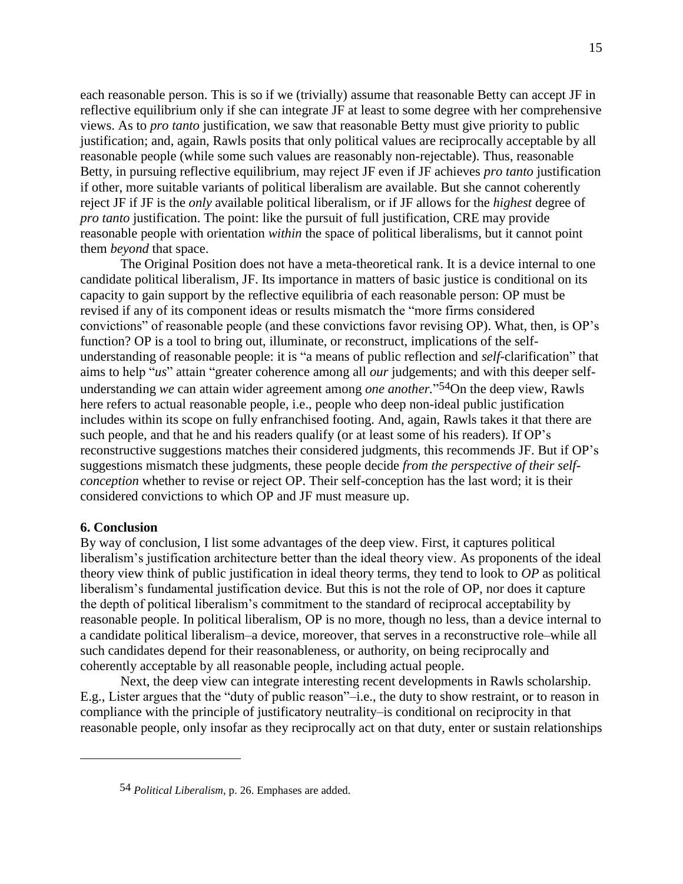each reasonable person. This is so if we (trivially) assume that reasonable Betty can accept JF in reflective equilibrium only if she can integrate JF at least to some degree with her comprehensive views. As to *pro tanto* justification, we saw that reasonable Betty must give priority to public justification; and, again, Rawls posits that only political values are reciprocally acceptable by all reasonable people (while some such values are reasonably non-rejectable). Thus, reasonable Betty, in pursuing reflective equilibrium, may reject JF even if JF achieves *pro tanto* justification if other, more suitable variants of political liberalism are available. But she cannot coherently reject JF if JF is the *only* available political liberalism, or if JF allows for the *highest* degree of *pro tanto* justification. The point: like the pursuit of full justification, CRE may provide reasonable people with orientation *within* the space of political liberalisms, but it cannot point them *beyond* that space.

The Original Position does not have a meta-theoretical rank. It is a device internal to one candidate political liberalism, JF. Its importance in matters of basic justice is conditional on its capacity to gain support by the reflective equilibria of each reasonable person: OP must be revised if any of its component ideas or results mismatch the "more firms considered convictions" of reasonable people (and these convictions favor revising OP). What, then, is OP's function? OP is a tool to bring out, illuminate, or reconstruct, implications of the selfunderstanding of reasonable people: it is "a means of public reflection and *self*-clarification" that aims to help "*us*" attain "greater coherence among all *our* judgements; and with this deeper selfunderstanding *we* can attain wider agreement among *one another.*" 54On the deep view, Rawls here refers to actual reasonable people, i.e., people who deep non-ideal public justification includes within its scope on fully enfranchised footing. And, again, Rawls takes it that there are such people, and that he and his readers qualify (or at least some of his readers). If OP's reconstructive suggestions matches their considered judgments, this recommends JF. But if OP's suggestions mismatch these judgments, these people decide *from the perspective of their selfconception* whether to revise or reject OP. Their self-conception has the last word; it is their considered convictions to which OP and JF must measure up.

## **6. Conclusion**

 $\overline{a}$ 

By way of conclusion, I list some advantages of the deep view. First, it captures political liberalism's justification architecture better than the ideal theory view. As proponents of the ideal theory view think of public justification in ideal theory terms, they tend to look to *OP* as political liberalism's fundamental justification device. But this is not the role of OP, nor does it capture the depth of political liberalism's commitment to the standard of reciprocal acceptability by reasonable people. In political liberalism, OP is no more, though no less, than a device internal to a candidate political liberalism–a device, moreover, that serves in a reconstructive role–while all such candidates depend for their reasonableness, or authority, on being reciprocally and coherently acceptable by all reasonable people, including actual people.

Next, the deep view can integrate interesting recent developments in Rawls scholarship. E.g., Lister argues that the "duty of public reason"–i.e., the duty to show restraint, or to reason in compliance with the principle of justificatory neutrality–is conditional on reciprocity in that reasonable people, only insofar as they reciprocally act on that duty, enter or sustain relationships

<sup>54</sup> *Political Liberalism*, p. 26. Emphases are added.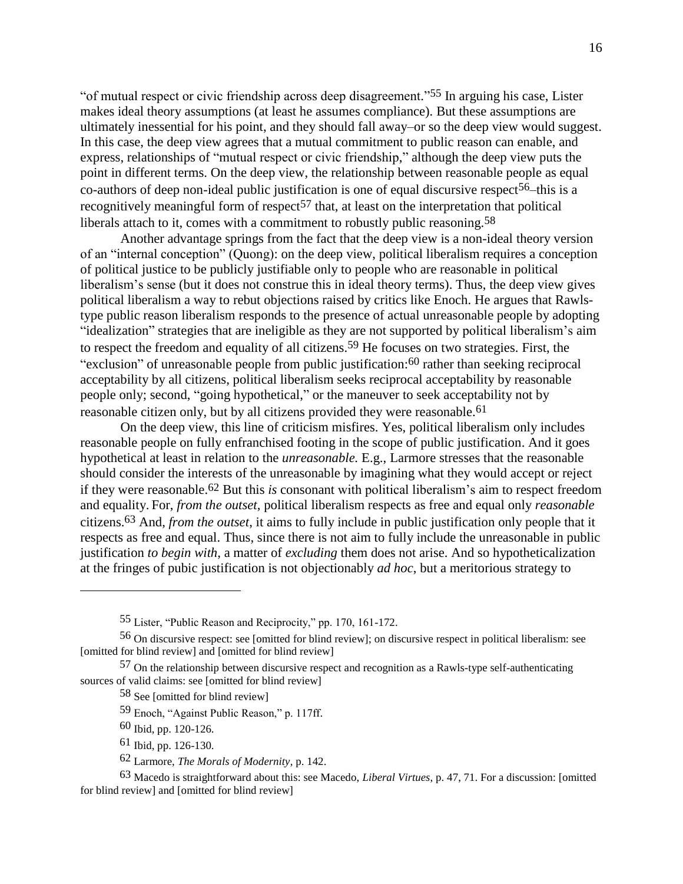"of mutual respect or civic friendship across deep disagreement." 55 In arguing his case, Lister makes ideal theory assumptions (at least he assumes compliance). But these assumptions are ultimately inessential for his point, and they should fall away–or so the deep view would suggest. In this case, the deep view agrees that a mutual commitment to public reason can enable, and express, relationships of "mutual respect or civic friendship," although the deep view puts the point in different terms. On the deep view, the relationship between reasonable people as equal co-authors of deep non-ideal public justification is one of equal discursive respect<sup>56</sup>–this is a recognitively meaningful form of respect<sup>57</sup> that, at least on the interpretation that political liberals attach to it, comes with a commitment to robustly public reasoning.<sup>58</sup>

Another advantage springs from the fact that the deep view is a non-ideal theory version of an "internal conception" (Quong): on the deep view, political liberalism requires a conception of political justice to be publicly justifiable only to people who are reasonable in political liberalism's sense (but it does not construe this in ideal theory terms). Thus, the deep view gives political liberalism a way to rebut objections raised by critics like Enoch. He argues that Rawlstype public reason liberalism responds to the presence of actual unreasonable people by adopting "idealization" strategies that are ineligible as they are not supported by political liberalism's aim to respect the freedom and equality of all citizens.59 He focuses on two strategies. First, the "exclusion" of unreasonable people from public justification: 60 rather than seeking reciprocal acceptability by all citizens, political liberalism seeks reciprocal acceptability by reasonable people only; second, "going hypothetical," or the maneuver to seek acceptability not by reasonable citizen only, but by all citizens provided they were reasonable.<sup>61</sup>

On the deep view, this line of criticism misfires. Yes, political liberalism only includes reasonable people on fully enfranchised footing in the scope of public justification. And it goes hypothetical at least in relation to the *unreasonable.* E.g., Larmore stresses that the reasonable should consider the interests of the unreasonable by imagining what they would accept or reject if they were reasonable.62 But this *is* consonant with political liberalism's aim to respect freedom and equality. For, *from the outset*, political liberalism respects as free and equal only *reasonable* citizens. 63 And, *from the outset*, it aims to fully include in public justification only people that it respects as free and equal. Thus, since there is not aim to fully include the unreasonable in public justification *to begin with*, a matter of *excluding* them does not arise. And so hypotheticalization at the fringes of pubic justification is not objectionably *ad hoc*, but a meritorious strategy to

60 Ibid, pp. 120-126.

 $\overline{a}$ 

- 61 Ibid, pp. 126-130.
- 62 Larmore, *The Morals of Modernity*, p. 142.

63 Macedo is straightforward about this: see Macedo, *Liberal Virtues*, p. 47, 71. For a discussion: [omitted for blind review] and [omitted for blind review]

<sup>55</sup> Lister, "Public Reason and Reciprocity," pp. 170, 161-172.

<sup>56</sup> On discursive respect: see [omitted for blind review]; on discursive respect in political liberalism: see [omitted for blind review] and [omitted for blind review]

<sup>57</sup> On the relationship between discursive respect and recognition as a Rawls-type self-authenticating sources of valid claims: see [omitted for blind review]

<sup>58</sup> See [omitted for blind review]

<sup>59</sup> Enoch, "Against Public Reason," p. 117ff.